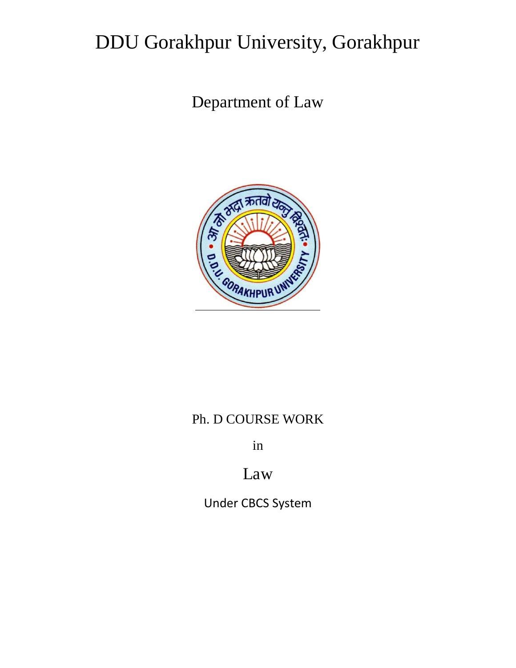# DDU Gorakhpur University, Gorakhpur

Department of Law



# Ph. D COURSE WORK

in

# Law

Under CBCS System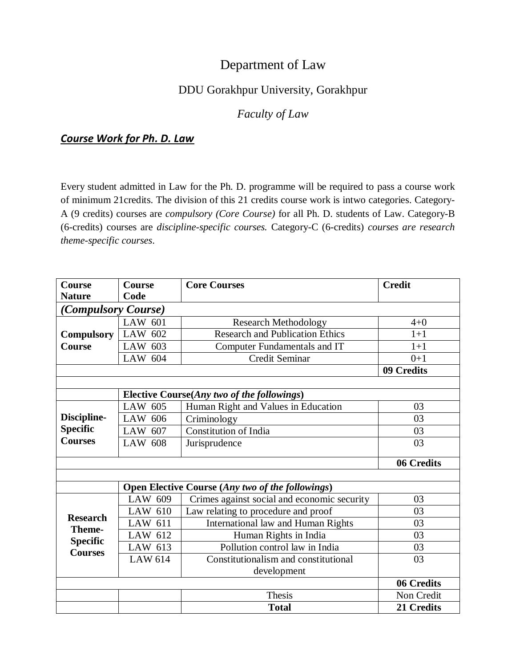# Department of Law

# DDU Gorakhpur University, Gorakhpur

# *Faculty of Law*

# *Course Work for Ph. D. Law*

Every student admitted in Law for the Ph. D. programme will be required to pass a course work of minimum 21credits. The division of this 21 credits course work is intwo categories. Category-A (9 credits) courses are *compulsory (Core Course)* for all Ph. D. students of Law. Category-B (6-credits) courses are *discipline-specific courses.* Category-C (6-credits) *courses are research theme-specific courses*.

| <b>Course</b>                                                  | Course                                                  | <b>Core Courses</b>                         | <b>Credit</b> |  |  |  |  |  |
|----------------------------------------------------------------|---------------------------------------------------------|---------------------------------------------|---------------|--|--|--|--|--|
| <b>Nature</b>                                                  | Code                                                    |                                             |               |  |  |  |  |  |
| (Compulsory Course)                                            |                                                         |                                             |               |  |  |  |  |  |
| <b>Compulsory</b>                                              | LAW 601                                                 | <b>Research Methodology</b>                 | $4 + 0$       |  |  |  |  |  |
|                                                                | LAW 602                                                 | <b>Research and Publication Ethics</b>      | $1+1$         |  |  |  |  |  |
| <b>Course</b>                                                  | LAW 603                                                 | Computer Fundamentals and IT                | $1+1$         |  |  |  |  |  |
|                                                                | LAW 604                                                 | <b>Credit Seminar</b>                       | $0+1$         |  |  |  |  |  |
|                                                                | 09 Credits                                              |                                             |               |  |  |  |  |  |
|                                                                |                                                         |                                             |               |  |  |  |  |  |
| Elective Course(Any two of the followings)                     |                                                         |                                             |               |  |  |  |  |  |
|                                                                | LAW 605                                                 | Human Right and Values in Education         | 03            |  |  |  |  |  |
| Discipline-                                                    | LAW 606                                                 | Criminology                                 | 03            |  |  |  |  |  |
| <b>Specific</b>                                                | LAW 607                                                 | <b>Constitution of India</b>                | 03            |  |  |  |  |  |
| <b>Courses</b>                                                 | <b>LAW 608</b>                                          | Jurisprudence                               | 03            |  |  |  |  |  |
|                                                                | 06 Credits                                              |                                             |               |  |  |  |  |  |
|                                                                |                                                         |                                             |               |  |  |  |  |  |
|                                                                | <b>Open Elective Course (Any two of the followings)</b> |                                             |               |  |  |  |  |  |
| <b>Research</b><br>Theme-<br><b>Specific</b><br><b>Courses</b> | LAW 609                                                 | Crimes against social and economic security | 03            |  |  |  |  |  |
|                                                                | LAW 610                                                 | Law relating to procedure and proof         | 03            |  |  |  |  |  |
|                                                                | LAW 611                                                 | International law and Human Rights          | 03            |  |  |  |  |  |
|                                                                | LAW 612                                                 | Human Rights in India                       | 03            |  |  |  |  |  |
|                                                                | LAW 613                                                 | Pollution control law in India              | 03            |  |  |  |  |  |
|                                                                | <b>LAW 614</b>                                          | Constitutionalism and constitutional<br>03  |               |  |  |  |  |  |
|                                                                |                                                         | development                                 |               |  |  |  |  |  |
|                                                                | 06 Credits                                              |                                             |               |  |  |  |  |  |
|                                                                |                                                         | Thesis                                      | Non Credit    |  |  |  |  |  |
|                                                                |                                                         | <b>Total</b>                                | 21 Credits    |  |  |  |  |  |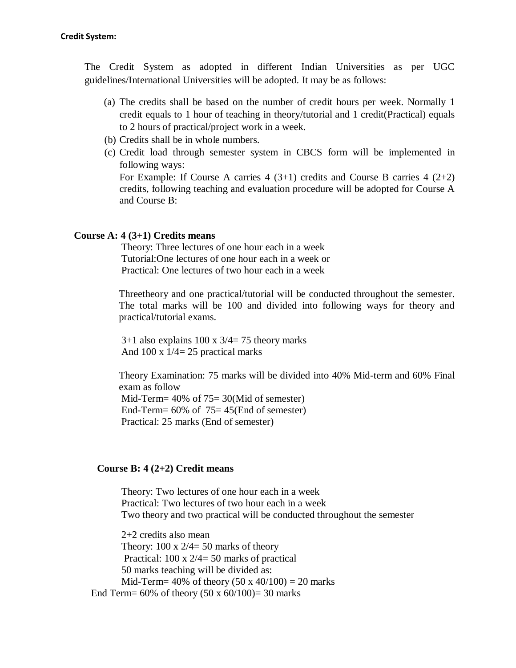The Credit System as adopted in different Indian Universities as per UGC guidelines/International Universities will be adopted. It may be as follows:

- (a) The credits shall be based on the number of credit hours per week. Normally 1 credit equals to 1 hour of teaching in theory/tutorial and 1 credit(Practical) equals to 2 hours of practical/project work in a week.
- (b) Credits shall be in whole numbers.
- (c) Credit load through semester system in CBCS form will be implemented in following ways:

For Example: If Course A carries  $4(3+1)$  credits and Course B carries  $4(2+2)$ credits, following teaching and evaluation procedure will be adopted for Course A and Course B:

#### **Course A: 4 (3+1) Credits means**

Theory: Three lectures of one hour each in a week Tutorial:One lectures of one hour each in a week or Practical: One lectures of two hour each in a week

Threetheory and one practical/tutorial will be conducted throughout the semester. The total marks will be 100 and divided into following ways for theory and practical/tutorial exams.

 $3+1$  also explains  $100 \times 3/4 = 75$  theory marks And  $100 \times 1/4 = 25$  practical marks

Theory Examination: 75 marks will be divided into 40% Mid-term and 60% Final exam as follow Mid-Term= 40% of 75= 30(Mid of semester) End-Term= 60% of 75= 45(End of semester)

Practical: 25 marks (End of semester)

#### **Course B: 4 (2+2) Credit means**

Theory: Two lectures of one hour each in a week Practical: Two lectures of two hour each in a week Two theory and two practical will be conducted throughout the semester

2+2 credits also mean Theory:  $100 \times 2/4 = 50$  marks of theory Practical: 100 x 2/4= 50 marks of practical 50 marks teaching will be divided as: Mid-Term= 40% of theory  $(50 \times 40/100) = 20$  marks End Term=  $60\%$  of theory  $(50 \times 60/100)$ = 30 marks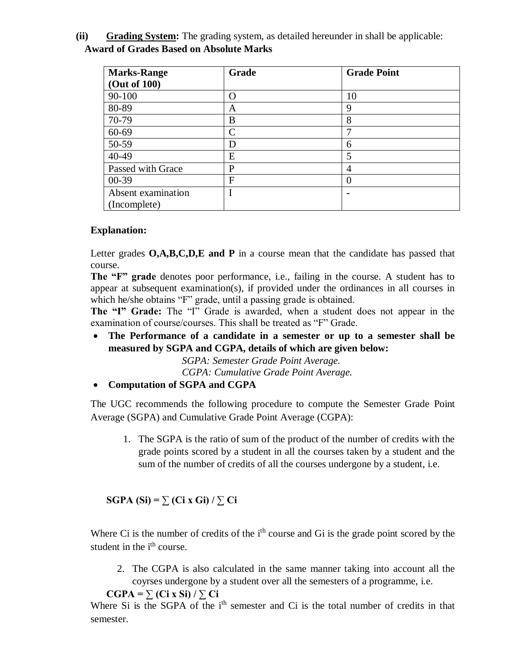**(ii) Grading System:** The grading system, as detailed hereunder in shall be applicable: **Award of Grades Based on Absolute Marks**

| <b>Marks-Range</b> | Grade | <b>Grade Point</b> |
|--------------------|-------|--------------------|
| (Out of 100)       |       |                    |
| 90-100             | ∩     | 10                 |
| 80-89              | A     | 9                  |
| 70-79              | B     | 8                  |
| 60-69              | C     | ┑                  |
| 50-59              | D     | 6                  |
| 40-49              | E     | 5                  |
| Passed with Grace  | P     | 4                  |
| $00-39$            | F     |                    |
| Absent examination |       | $\blacksquare$     |
| (Incomplete)       |       |                    |

# **Explanation:**

Letter grades **O,A,B,C,D,E and P** in a course mean that the candidate has passed that course.

**The "F" grade** denotes poor performance, i.e., failing in the course. A student has to appear at subsequent examination(s), if provided under the ordinances in all courses in which he/she obtains "F" grade, until a passing grade is obtained.

**The "I" Grade:** The "I" Grade is awarded, when a student does not appear in the examination of course/courses. This shall be treated as "F" Grade.

 **The Performance of a candidate in a semester or up to a semester shall be measured by SGPA and CGPA, details of which are given below:**

*SGPA: Semester Grade Point Average. CGPA: Cumulative Grade Point Average.*

**Computation of SGPA and CGPA**

The UGC recommends the following procedure to compute the Semester Grade Point Average (SGPA) and Cumulative Grade Point Average (CGPA):

1. The SGPA is the ratio of sum of the product of the number of credits with the grade points scored by a student in all the courses taken by a student and the sum of the number of credits of all the courses undergone by a student, i.e.

**SGPA (Si) =**  $\sum$  **(Ci x Gi) /**  $\sum$  **Ci** 

Where Ci is the number of credits of the i<sup>th</sup> course and Gi is the grade point scored by the student in the *i*<sup>th</sup> course.

2. The CGPA is also calculated in the same manner taking into account all the coyrses undergone by a student over all the semesters of a programme, i.e.

```
CGPA = \sum (Ci \times Si)/\sum Ci
```
Where Si is the SGPA of the  $i<sup>th</sup>$  semester and Ci is the total number of credits in that semester.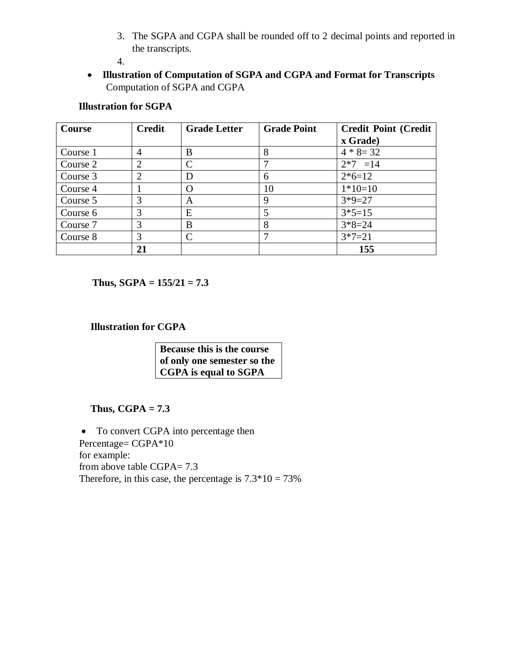3. The SGPA and CGPA shall be rounded off to 2 decimal points and reported in the transcripts.

4.

 **Illustration of Computation of SGPA and CGPA and Format for Transcripts** Computation of SGPA and CGPA

# **Illustration for SGPA**

| <b>Course</b> | <b>Credit</b>  | <b>Grade Letter</b> | <b>Grade Point</b> | <b>Credit Point (Credit</b> |
|---------------|----------------|---------------------|--------------------|-----------------------------|
|               |                |                     |                    | x Grade)                    |
| Course 1      | $\overline{4}$ | B                   | 8                  | $4 * 8 = 32$                |
| Course 2      | $\overline{2}$ | C                   |                    | $2*7 = 14$                  |
| Course 3      | $\overline{2}$ | D                   | 6                  | $2*6=12$                    |
| Course 4      |                | O                   | 10                 | $1*10=10$                   |
| Course 5      | 3              | A                   | 9                  | $3*9=27$                    |
| Course 6      | 3              | E                   | 5                  | $3*5=15$                    |
| Course 7      | 3              | B                   | 8                  | $3*8=24$                    |
| Course 8      | 3              | C                   |                    | $3*7=21$                    |
|               | 21             |                     |                    | 155                         |

**Thus, SGPA =**  $155/21 = 7.3$ 

**Illustration for CGPA**

**Because this is the course of only one semester so the CGPA is equal to SGPA**

# **Thus, CGPA = 7.3**

• To convert CGPA into percentage then Percentage= CGPA\*10 for example: from above table CGPA= 7.3 Therefore, in this case, the percentage is  $7.3*10 = 73%$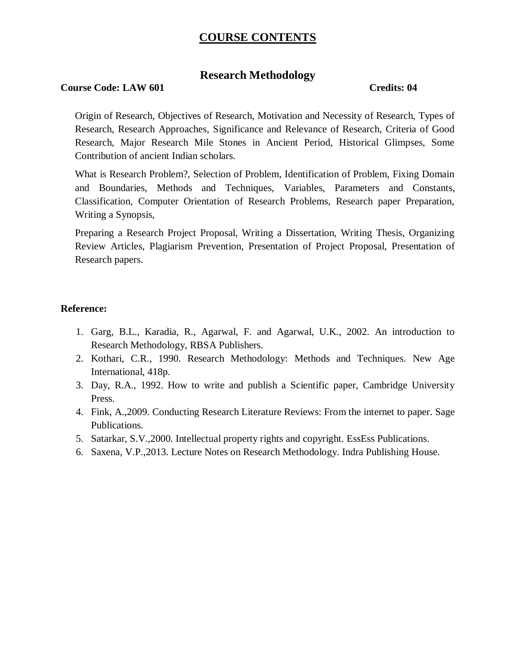# **COURSE CONTENTS**

# **Research Methodology**

### **Course Code: LAW 601** Credits: 04

Origin of Research, Objectives of Research, Motivation and Necessity of Research, Types of Research, Research Approaches, Significance and Relevance of Research, Criteria of Good Research, Major Research Mile Stones in Ancient Period, Historical Glimpses, Some Contribution of ancient Indian scholars.

What is Research Problem?, Selection of Problem, Identification of Problem, Fixing Domain and Boundaries, Methods and Techniques, Variables, Parameters and Constants, Classification, Computer Orientation of Research Problems, Research paper Preparation, Writing a Synopsis,

Preparing a Research Project Proposal, Writing a Dissertation, Writing Thesis, Organizing Review Articles, Plagiarism Prevention, Presentation of Project Proposal, Presentation of Research papers.

## **Reference:**

- 1. Garg, B.L., Karadia, R., Agarwal, F. and Agarwal, U.K., 2002. An introduction to Research Methodology, RBSA Publishers.
- 2. Kothari, C.R., 1990. Research Methodology: Methods and Techniques. New Age International, 418p.
- 3. Day, R.A., 1992. How to write and publish a Scientific paper, Cambridge University Press.
- 4. Fink, A.,2009. Conducting Research Literature Reviews: From the internet to paper. Sage Publications.
- 5. Satarkar, S.V.,2000. Intellectual property rights and copyright. EssEss Publications.
- 6. Saxena, V.P.,2013. Lecture Notes on Research Methodology. Indra Publishing House.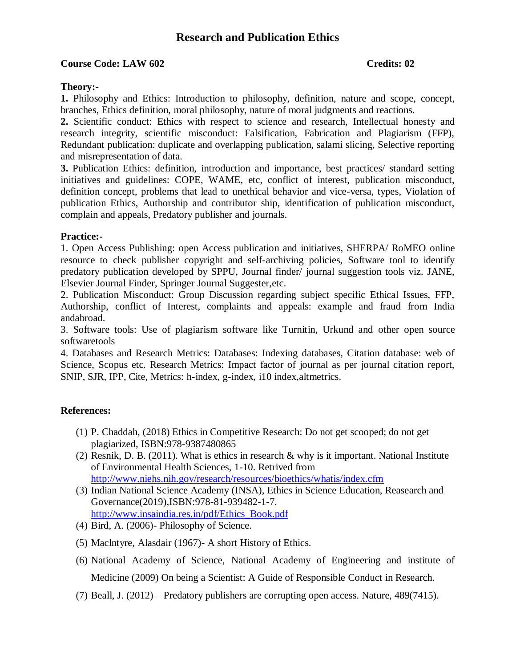# **Research and Publication Ethics**

### **Course Code: LAW 602 Credits: 02**

### **Theory:-**

**1.** Philosophy and Ethics: Introduction to philosophy, definition, nature and scope, concept, branches, Ethics definition, moral philosophy, nature of moral judgments and reactions.

**2.** Scientific conduct: Ethics with respect to science and research, Intellectual honesty and research integrity, scientific misconduct: Falsification, Fabrication and Plagiarism (FFP), Redundant publication: duplicate and overlapping publication, salami slicing, Selective reporting and misrepresentation of data.

**3.** Publication Ethics: definition, introduction and importance, best practices/ standard setting initiatives and guidelines: COPE, WAME, etc, conflict of interest, publication misconduct, definition concept, problems that lead to unethical behavior and vice-versa, types, Violation of publication Ethics, Authorship and contributor ship, identification of publication misconduct, complain and appeals, Predatory publisher and journals.

### **Practice:-**

1. Open Access Publishing: open Access publication and initiatives, SHERPA/ RoMEO online resource to check publisher copyright and self-archiving policies, Software tool to identify predatory publication developed by SPPU, Journal finder/ journal suggestion tools viz. JANE, Elsevier Journal Finder, Springer Journal Suggester,etc.

2. Publication Misconduct: Group Discussion regarding subject specific Ethical Issues, FFP, Authorship, conflict of Interest, complaints and appeals: example and fraud from India andabroad.

3. Software tools: Use of plagiarism software like Turnitin, Urkund and other open source softwaretools

4. Databases and Research Metrics: Databases: Indexing databases, Citation database: web of Science, Scopus etc. Research Metrics: Impact factor of journal as per journal citation report, SNIP, SJR, IPP, Cite, Metrics: h-index, g-index, i10 index,altmetrics.

## **References:**

- (1) P. Chaddah, (2018) Ethics in Competitive Research: Do not get scooped; do not get plagiarized, ISBN:978-9387480865
- (2) Resnik, D. B. (2011). What is ethics in research & why is it important. National Institute of Environmental Health Sciences, 1-10. Retrived from <http://www.niehs.nih.gov/research/resources/bioethics/whatis/index.cfm>
- (3) Indian National Science Academy (INSA), Ethics in Science Education, Reasearch and Governance(2019),ISBN:978-81-939482-1-7. [http://www.insaindia.res.in/pdf/Ethics\\_Book.pdf](http://www.insaindia.res.in/pdf/Ethics_Book.pdf)
- (4) Bird, A. (2006)- Philosophy of Science.
- (5) Maclntyre, Alasdair (1967)- A short History of Ethics.
- (6) National Academy of Science, National Academy of Engineering and institute of Medicine (2009) On being a Scientist: A Guide of Responsible Conduct in Research.
- (7) Beall, J. (2012) Predatory publishers are corrupting open access. Nature, 489(7415).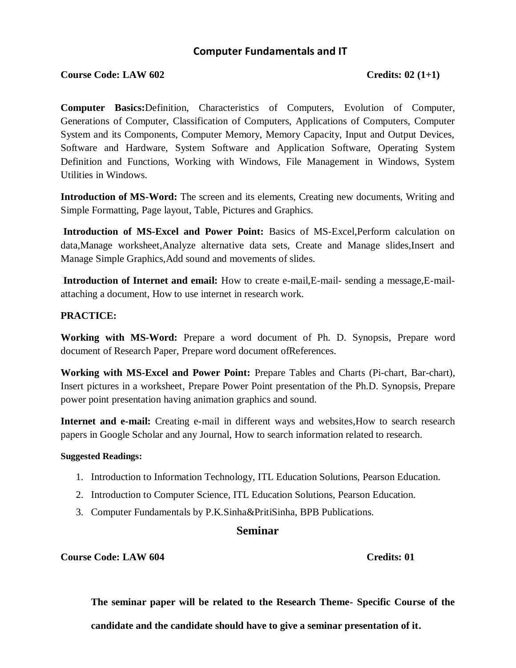# **Computer Fundamentals and IT**

## **Course Code: LAW 602 Credits: 02 (1+1)**

**Computer Basics:**Definition, Characteristics of Computers, Evolution of Computer, Generations of Computer, Classification of Computers, Applications of Computers, Computer System and its Components, Computer Memory, Memory Capacity, Input and Output Devices, Software and Hardware, System Software and Application Software, Operating System Definition and Functions, Working with Windows, File Management in Windows, System Utilities in Windows.

**Introduction of MS-Word:** The screen and its elements, Creating new documents, Writing and Simple Formatting, Page layout, Table, Pictures and Graphics.

**Introduction of MS-Excel and Power Point:** Basics of MS-Excel,Perform calculation on data,Manage worksheet,Analyze alternative data sets, Create and Manage slides,Insert and Manage Simple Graphics,Add sound and movements of slides.

**Introduction of Internet and email:** How to create e-mail, E-mail- sending a message, E-mailattaching a document, How to use internet in research work.

## **PRACTICE:**

**Working with MS-Word:** Prepare a word document of Ph. D. Synopsis, Prepare word document of Research Paper, Prepare word document ofReferences.

**Working with MS-Excel and Power Point:** Prepare Tables and Charts (Pi-chart, Bar-chart), Insert pictures in a worksheet, Prepare Power Point presentation of the Ph.D. Synopsis, Prepare power point presentation having animation graphics and sound.

**Internet and e-mail:** Creating e-mail in different ways and websites,How to search research papers in Google Scholar and any Journal, How to search information related to research.

#### **Suggested Readings:**

- 1. Introduction to Information Technology, ITL Education Solutions, Pearson Education.
- 2. Introduction to Computer Science, ITL Education Solutions, Pearson Education.
- 3. Computer Fundamentals by P.K.Sinha&PritiSinha, BPB Publications.

# **Seminar**

**Course Code: LAW 604 Credits: 01**

**The seminar paper will be related to the Research Theme- Specific Course of the candidate and the candidate should have to give a seminar presentation of it.**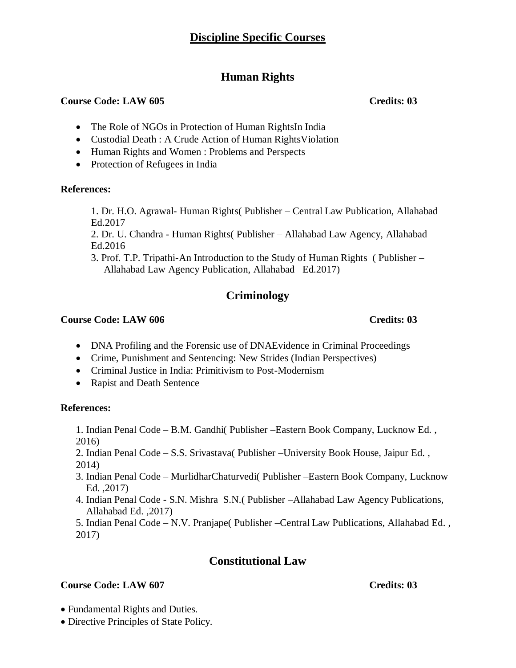# **Human Rights**

# **Course Code: LAW 605 Credits: 03**

- The Role of NGOs in Protection of Human RightsIn India
- Custodial Death : A Crude Action of Human RightsViolation
- Human Rights and Women : Problems and Perspects
- Protection of Refugees in India

# **References:**

1. Dr. H.O. Agrawal- Human Rights( Publisher – Central Law Publication, Allahabad Ed.2017

2. Dr. U. Chandra - Human Rights( Publisher – Allahabad Law Agency, Allahabad Ed.2016

3. Prof. T.P. Tripathi-An Introduction to the Study of Human Rights ( Publisher – Allahabad Law Agency Publication, Allahabad Ed.2017)

# **Criminology**

# **Course Code: LAW 606** Course Code: LAW 606

- DNA Profiling and the Forensic use of DNAEvidence in Criminal Proceedings
- Crime, Punishment and Sentencing: New Strides (Indian Perspectives)
- Criminal Justice in India: Primitivism to Post-Modernism
- Rapist and Death Sentence

# **References:**

- 1. Indian Penal Code B.M. Gandhi( Publisher –Eastern Book Company, Lucknow Ed. , 2016)
- 2. Indian Penal Code S.S. Srivastava( Publisher –University Book House, Jaipur Ed. , 2014)
- 3. Indian Penal Code MurlidharChaturvedi( Publisher –Eastern Book Company, Lucknow Ed. ,2017)
- 4. Indian Penal Code S.N. Mishra S.N.( Publisher –Allahabad Law Agency Publications, Allahabad Ed. ,2017)

5. Indian Penal Code – N.V. Pranjape( Publisher –Central Law Publications, Allahabad Ed. , 2017)

# **Constitutional Law**

# **Course Code: LAW 607 Credits: 03**

- Fundamental Rights and Duties.
- Directive Principles of State Policy.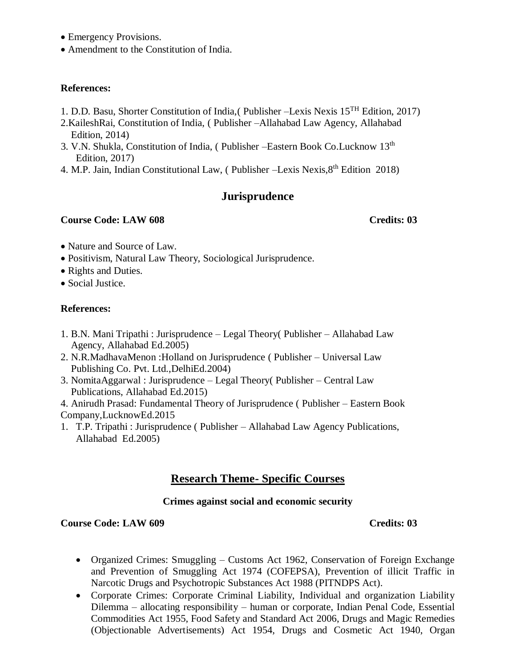- Emergency Provisions.
- Amendment to the Constitution of India.

### **References:**

- 1. D.D. Basu, Shorter Constitution of India,( Publisher –Lexis Nexis 15TH Edition, 2017)
- 2.KaileshRai, Constitution of India, ( Publisher –Allahabad Law Agency, Allahabad Edition, 2014)
- 3. V.N. Shukla, Constitution of India, ( Publisher –Eastern Book Co.Lucknow 13<sup>th</sup> Edition, 2017)
- 4. M.P. Jain, Indian Constitutional Law, (Publisher –Lexis Nexis,  $8<sup>th</sup>$  Edition 2018)

# **Jurisprudence**

# **Course Code: LAW 608 Credits: 03**

- Nature and Source of Law.
- Positivism, Natural Law Theory, Sociological Jurisprudence.
- Rights and Duties.
- Social Justice.

## **References:**

- 1. B.N. Mani Tripathi : Jurisprudence Legal Theory( Publisher Allahabad Law Agency, Allahabad Ed.2005)
- 2. N.R.MadhavaMenon :Holland on Jurisprudence ( Publisher Universal Law Publishing Co. Pvt. Ltd.,DelhiEd.2004)
- 3. NomitaAggarwal : Jurisprudence Legal Theory( Publisher Central Law Publications, Allahabad Ed.2015)
- 4. Anirudh Prasad: Fundamental Theory of Jurisprudence ( Publisher Eastern Book
- Company,LucknowEd.2015
- 1. T.P. Tripathi : Jurisprudence ( Publisher Allahabad Law Agency Publications, Allahabad Ed.2005)

# **Research Theme- Specific Courses**

# **Crimes against social and economic security**

## **Course Code: LAW 609** Course Code: LAW 609

- Organized Crimes: Smuggling Customs Act 1962, Conservation of Foreign Exchange and Prevention of Smuggling Act 1974 (COFEPSA), Prevention of illicit Traffic in Narcotic Drugs and Psychotropic Substances Act 1988 (PITNDPS Act).
- Corporate Crimes: Corporate Criminal Liability, Individual and organization Liability Dilemma – allocating responsibility – human or corporate, Indian Penal Code, Essential Commodities Act 1955, Food Safety and Standard Act 2006, Drugs and Magic Remedies (Objectionable Advertisements) Act 1954, Drugs and Cosmetic Act 1940, Organ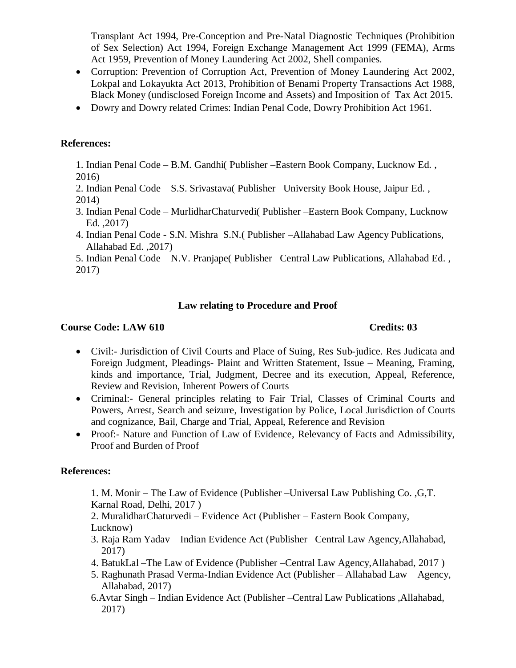Transplant Act 1994, Pre-Conception and Pre-Natal Diagnostic Techniques (Prohibition of Sex Selection) Act 1994, Foreign Exchange Management Act 1999 (FEMA), Arms Act 1959, Prevention of Money Laundering Act 2002, Shell companies.

- Corruption: Prevention of Corruption Act, Prevention of Money Laundering Act 2002, Lokpal and Lokayukta Act 2013, Prohibition of Benami Property Transactions Act 1988, Black Money (undisclosed Foreign Income and Assets) and Imposition of Tax Act 2015.
- Dowry and Dowry related Crimes: Indian Penal Code, Dowry Prohibition Act 1961.

# **References:**

1. Indian Penal Code – B.M. Gandhi( Publisher –Eastern Book Company, Lucknow Ed. , 2016)

2. Indian Penal Code – S.S. Srivastava( Publisher –University Book House, Jaipur Ed. , 2014)

- 3. Indian Penal Code MurlidharChaturvedi( Publisher –Eastern Book Company, Lucknow Ed. ,2017)
- 4. Indian Penal Code S.N. Mishra S.N.( Publisher –Allahabad Law Agency Publications, Allahabad Ed. ,2017)

5. Indian Penal Code – N.V. Pranjape( Publisher –Central Law Publications, Allahabad Ed. , 2017)

# **Law relating to Procedure and Proof**

# **Course Code: LAW 610** Course Code: LAW 610

- Civil:- Jurisdiction of Civil Courts and Place of Suing, Res Sub-judice. Res Judicata and Foreign Judgment, Pleadings- Plaint and Written Statement, Issue – Meaning, Framing, kinds and importance, Trial, Judgment, Decree and its execution, Appeal, Reference, Review and Revision, Inherent Powers of Courts
- Criminal:- General principles relating to Fair Trial, Classes of Criminal Courts and Powers, Arrest, Search and seizure, Investigation by Police, Local Jurisdiction of Courts and cognizance, Bail, Charge and Trial, Appeal, Reference and Revision
- Proof:- Nature and Function of Law of Evidence, Relevancy of Facts and Admissibility, Proof and Burden of Proof

# **References:**

1. M. Monir – The Law of Evidence (Publisher –Universal Law Publishing Co. ,G,T. Karnal Road, Delhi, 2017 )

2. MuralidharChaturvedi – Evidence Act (Publisher – Eastern Book Company, Lucknow)

- 3. Raja Ram Yadav Indian Evidence Act (Publisher –Central Law Agency,Allahabad, 2017)
- 4. BatukLal –The Law of Evidence (Publisher –Central Law Agency,Allahabad, 2017 )
- 5. Raghunath Prasad Verma-Indian Evidence Act (Publisher Allahabad Law Agency, Allahabad, 2017)
- 6.Avtar Singh Indian Evidence Act (Publisher –Central Law Publications ,Allahabad, 2017)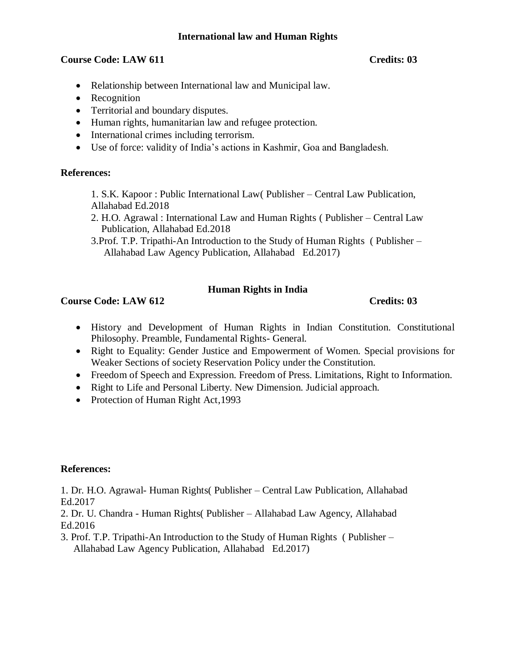# **International law and Human Rights**

# **Course Code: LAW 611** Course Code: LAW 611

- Relationship between International law and Municipal law.
- Recognition
- Territorial and boundary disputes.
- Human rights, humanitarian law and refugee protection.
- International crimes including terrorism.
- Use of force: validity of India's actions in Kashmir, Goa and Bangladesh.

# **References:**

1. S.K. Kapoor : Public International Law( Publisher – Central Law Publication, Allahabad Ed.2018

- 2. H.O. Agrawal : International Law and Human Rights ( Publisher Central Law Publication, Allahabad Ed.2018
- 3.Prof. T.P. Tripathi-An Introduction to the Study of Human Rights ( Publisher Allahabad Law Agency Publication, Allahabad Ed.2017)

# **Human Rights in India**

# **Course Code: LAW 612** Credits: 03

- History and Development of Human Rights in Indian Constitution. Constitutional Philosophy. Preamble, Fundamental Rights- General.
- Right to Equality: Gender Justice and Empowerment of Women. Special provisions for Weaker Sections of society Reservation Policy under the Constitution.
- Freedom of Speech and Expression. Freedom of Press. Limitations, Right to Information.
- Right to Life and Personal Liberty. New Dimension. Judicial approach.
- Protection of Human Right Act, 1993

## **References:**

1. Dr. H.O. Agrawal- Human Rights( Publisher – Central Law Publication, Allahabad Ed.2017

2. Dr. U. Chandra - Human Rights( Publisher – Allahabad Law Agency, Allahabad Ed.2016

3. Prof. T.P. Tripathi-An Introduction to the Study of Human Rights ( Publisher – Allahabad Law Agency Publication, Allahabad Ed.2017)